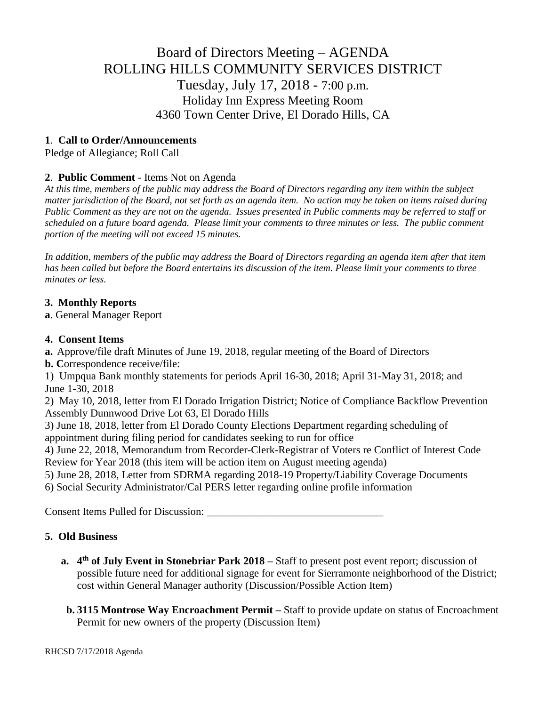# Board of Directors Meeting – AGENDA ROLLING HILLS COMMUNITY SERVICES DISTRICT Tuesday, July 17, 2018 - 7:00 p.m. Holiday Inn Express Meeting Room 4360 Town Center Drive, El Dorado Hills, CA

## **1**. **Call to Order/Announcements**

Pledge of Allegiance; Roll Call

## **2**. **Public Comment** - Items Not on Agenda

*At this time, members of the public may address the Board of Directors regarding any item within the subject matter jurisdiction of the Board, not set forth as an agenda item. No action may be taken on items raised during Public Comment as they are not on the agenda. Issues presented in Public comments may be referred to staff or scheduled on a future board agenda. Please limit your comments to three minutes or less. The public comment portion of the meeting will not exceed 15 minutes.*

*In addition, members of the public may address the Board of Directors regarding an agenda item after that item has been called but before the Board entertains its discussion of the item. Please limit your comments to three minutes or less.*

#### **3. Monthly Reports**

**a**. General Manager Report

#### **4. Consent Items**

**a.** Approve/file draft Minutes of June 19, 2018, regular meeting of the Board of Directors

**b. C**orrespondence receive/file:

1) Umpqua Bank monthly statements for periods April 16-30, 2018; April 31-May 31, 2018; and June 1-30, 2018

2) May 10, 2018, letter from El Dorado Irrigation District; Notice of Compliance Backflow Prevention Assembly Dunnwood Drive Lot 63, El Dorado Hills

3) June 18, 2018, letter from El Dorado County Elections Department regarding scheduling of appointment during filing period for candidates seeking to run for office

4) June 22, 2018, Memorandum from Recorder-Clerk-Registrar of Voters re Conflict of Interest Code Review for Year 2018 (this item will be action item on August meeting agenda)

5) June 28, 2018, Letter from SDRMA regarding 2018-19 Property/Liability Coverage Documents

6) Social Security Administrator/Cal PERS letter regarding online profile information

Consent Items Pulled for Discussion: \_\_\_\_\_\_\_\_\_\_\_\_\_\_\_\_\_\_\_\_\_\_\_\_\_\_\_\_\_\_\_\_\_

# **5. Old Business**

- **a. 4 th of July Event in Stonebriar Park 2018 –** Staff to present post event report; discussion of possible future need for additional signage for event for Sierramonte neighborhood of the District; cost within General Manager authority (Discussion/Possible Action Item)
- **b. 3115 Montrose Way Encroachment Permit –** Staff to provide update on status of Encroachment Permit for new owners of the property (Discussion Item)